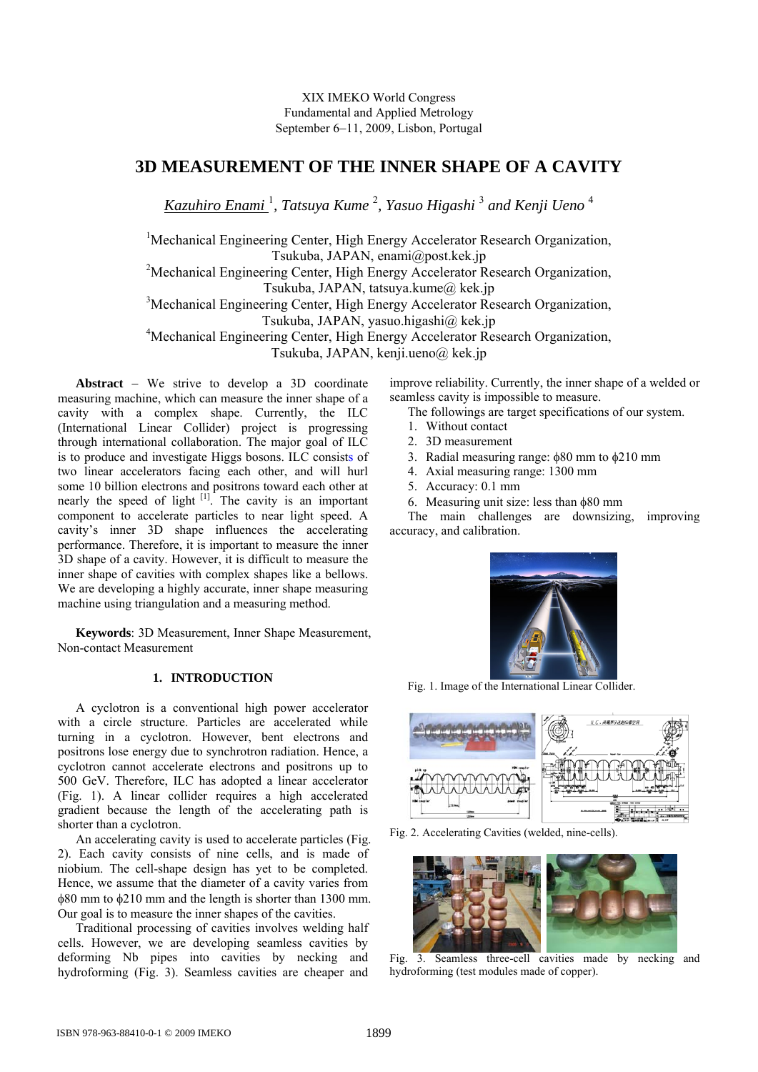# **3D MEASUREMENT OF THE INNER SHAPE OF A CAVITY**

*Kazuhiro Enami* <sup>1</sup> *, Tatsuya Kume* <sup>2</sup> *, Yasuo Higashi* <sup>3</sup>  *and Kenji Ueno* <sup>4</sup>

<sup>1</sup>Mechanical Engineering Center, High Energy Accelerator Research Organization, Tsukuba, JAPAN, enami@post.kek.jp <sup>2</sup>Mechanical Engineering Center, High Energy Accelerator Research Organization, Tsukuba, JAPAN, tatsuya.kume@ kek.jp <sup>3</sup>Mechanical Engineering Center, High Energy Accelerator Research Organization, Tsukuba, JAPAN, yasuo.higashi@ kek.jp 4 Mechanical Engineering Center, High Energy Accelerator Research Organization, Tsukuba, JAPAN, kenji.ueno $\omega$  kek.jp

Abstract – We strive to develop a 3D coordinate measuring machine, which can measure the inner shape of a cavity with a complex shape. Currently, the ILC (International Linear Collider) project is progressing through international collaboration. The major goal of ILC is to produce and investigate Higgs bosons. ILC consists of two linear accelerators facing each other, and will hurl some 10 billion electrons and positrons toward each other at nearly the speed of light  $\left[1\right]$ . The cavity is an important component to accelerate particles to near light speed. A cavity's inner 3D shape influences the accelerating performance. Therefore, it is important to measure the inner 3D shape of a cavity. However, it is difficult to measure the inner shape of cavities with complex shapes like a bellows. We are developing a highly accurate, inner shape measuring machine using triangulation and a measuring method.

**Keywords**: 3D Measurement, Inner Shape Measurement, Non-contact Measurement

# **1. INTRODUCTION**

A cyclotron is a conventional high power accelerator with a circle structure. Particles are accelerated while turning in a cyclotron. However, bent electrons and positrons lose energy due to synchrotron radiation. Hence, a cyclotron cannot accelerate electrons and positrons up to 500 GeV. Therefore, ILC has adopted a linear accelerator (Fig. 1). A linear collider requires a high accelerated gradient because the length of the accelerating path is shorter than a cyclotron.

An accelerating cavity is used to accelerate particles (Fig. 2). Each cavity consists of nine cells, and is made of niobium. The cell-shape design has yet to be completed. Hence, we assume that the diameter of a cavity varies from  $\phi$ 80 mm to  $\phi$ 210 mm and the length is shorter than 1300 mm. Our goal is to measure the inner shapes of the cavities.

 Traditional processing of cavities involves welding half cells. However, we are developing seamless cavities by deforming Nb pipes into cavities by necking and hydroforming (Fig. 3). Seamless cavities are cheaper and

improve reliability. Currently, the inner shape of a welded or seamless cavity is impossible to measure.

The followings are target specifications of our system.

- 1. Without contact
- 2. 3D measurement
- 3. Radial measuring range:  $\phi$ 80 mm to  $\phi$ 210 mm
- 4. Axial measuring range: 1300 mm
- 5. Accuracy: 0.1 mm
- 6. Measuring unit size: less than  $\phi$ 80 mm

The main challenges are downsizing, improving accuracy, and calibration.



Fig. 1. Image of the International Linear Collider.



Fig. 2. Accelerating Cavities (welded, nine-cells).



 Fig. 3. Seamless three-cell cavities made by necking and hydroforming (test modules made of copper).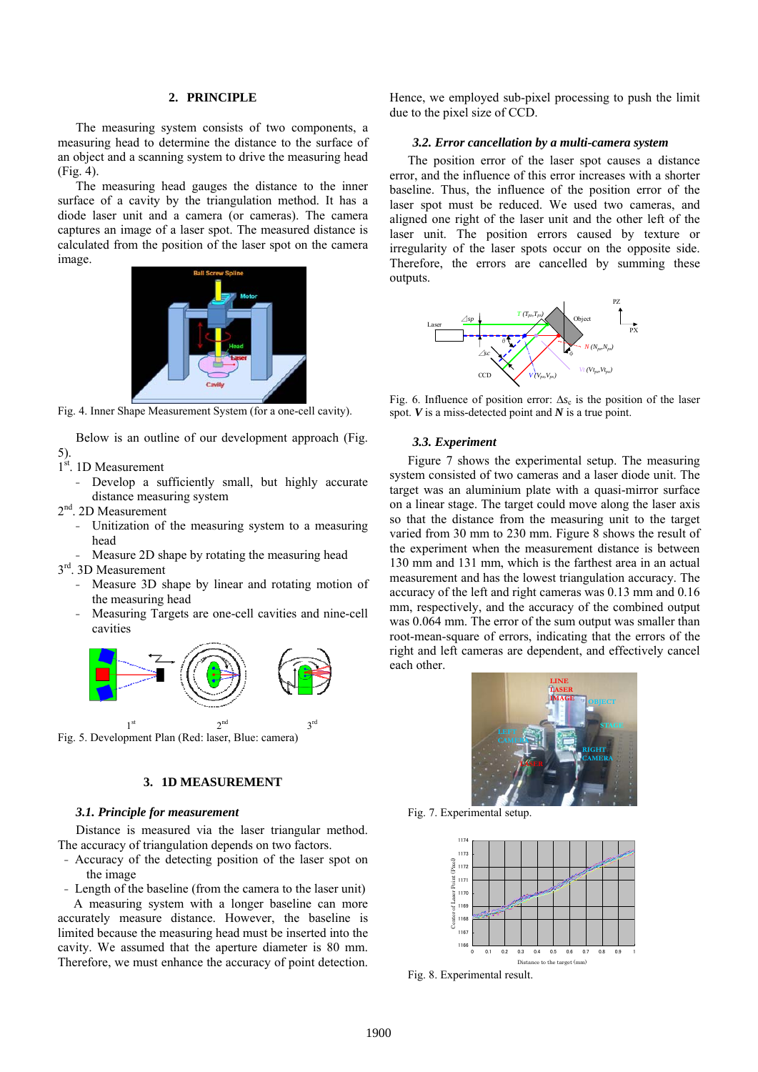# **2. PRINCIPLE**

The measuring system consists of two components, a measuring head to determine the distance to the surface of an object and a scanning system to drive the measuring head (Fig. 4).

The measuring head gauges the distance to the inner surface of a cavity by the triangulation method. It has a diode laser unit and a camera (or cameras). The camera captures an image of a laser spot. The measured distance is calculated from the position of the laser spot on the camera image.



Fig. 4. Inner Shape Measurement System (for a one-cell cavity).

Below is an outline of our development approach (Fig. 5).

1<sup>st</sup>. 1D Measurement

- Develop a sufficiently small, but highly accurate distance measuring system
- 2<sup>nd</sup>. 2D Measurement
	- Unitization of the measuring system to a measuring head
	- Measure 2D shape by rotating the measuring head
- 3<sup>rd</sup>. 3D Measurement
	- Measure 3D shape by linear and rotating motion of the measuring head
	- Measuring Targets are one-cell cavities and nine-cell cavities



Fig. 5. Development Plan (Red: laser, Blue: camera)

# **3. 1D MEASUREMENT**

## *3.1. Principle for measurement*

Distance is measured via the laser triangular method. The accuracy of triangulation depends on two factors.

- Accuracy of the detecting position of the laser spot on the image
- Length of the baseline (from the camera to the laser unit)

 A measuring system with a longer baseline can more accurately measure distance. However, the baseline is limited because the measuring head must be inserted into the cavity. We assumed that the aperture diameter is 80 mm. Therefore, we must enhance the accuracy of point detection. Hence, we employed sub-pixel processing to push the limit due to the pixel size of CCD.

### *3.2. Error cancellation by a multi-camera system*

The position error of the laser spot causes a distance error, and the influence of this error increases with a shorter baseline. Thus, the influence of the position error of the laser spot must be reduced. We used two cameras, and aligned one right of the laser unit and the other left of the laser unit. The position errors caused by texture or irregularity of the laser spots occur on the opposite side. Therefore, the errors are cancelled by summing these outputs.



Fig. 6. Influence of position error:  $\Delta s_c$  is the position of the laser spot. *V* is a miss-detected point and *N* is a true point.

#### *3.3. Experiment*

Figure 7 shows the experimental setup. The measuring system consisted of two cameras and a laser diode unit. The target was an aluminium plate with a quasi-mirror surface on a linear stage. The target could move along the laser axis so that the distance from the measuring unit to the target varied from 30 mm to 230 mm. Figure 8 shows the result of the experiment when the measurement distance is between 130 mm and 131 mm, which is the farthest area in an actual measurement and has the lowest triangulation accuracy. The accuracy of the left and right cameras was 0.13 mm and 0.16 mm, respectively, and the accuracy of the combined output was 0.064 mm. The error of the sum output was smaller than root-mean-square of errors, indicating that the errors of the right and left cameras are dependent, and effectively cancel each other.

![](_page_1_Picture_29.jpeg)

Fig. 7. Experimental setup.

![](_page_1_Figure_31.jpeg)

Fig. 8. Experimental result.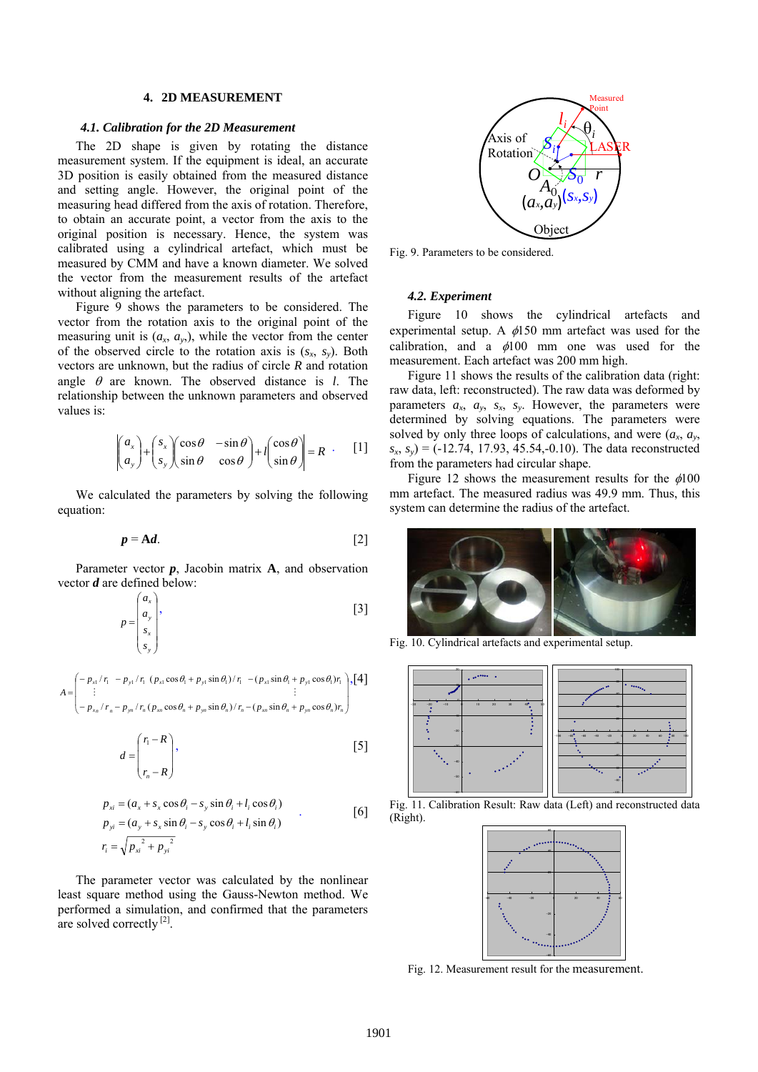### **4. 2D MEASUREMENT**

#### *4.1. Calibration for the 2D Measurement*

The 2D shape is given by rotating the distance measurement system. If the equipment is ideal, an accurate 3D position is easily obtained from the measured distance and setting angle. However, the original point of the measuring head differed from the axis of rotation. Therefore, to obtain an accurate point, a vector from the axis to the original position is necessary. Hence, the system was calibrated using a cylindrical artefact, which must be measured by CMM and have a known diameter. We solved the vector from the measurement results of the artefact without aligning the artefact.

Figure 9 shows the parameters to be considered. The vector from the rotation axis to the original point of the measuring unit is  $(a_x, a_y)$ , while the vector from the center of the observed circle to the rotation axis is  $(s_x, s_y)$ . Both vectors are unknown, but the radius of circle *R* and rotation angle  $\theta$  are known. The observed distance is *l*. The relationship between the unknown parameters and observed values is:

$$
\begin{pmatrix} a_x \\ a_y \end{pmatrix} + \begin{pmatrix} s_x \\ s_y \end{pmatrix} \begin{pmatrix} \cos \theta & -\sin \theta \\ \sin \theta & \cos \theta \end{pmatrix} + l \begin{pmatrix} \cos \theta \\ \sin \theta \end{pmatrix} = R
$$
 [1]

We calculated the parameters by solving the following equation:

$$
p = \mathbf{A}d. \tag{2}
$$

Parameter vector  $p$ , Jacobin matrix  $A$ , and observation vector *d* are defined below:

$$
p = \begin{pmatrix} a_x \\ a_y \\ s_x \\ s_y \end{pmatrix},
$$
 [3]

$$
A = \begin{pmatrix} -p_{x1}/r_1 & -p_{y1}/r_1 & (p_{x1}\cos\theta_1 + p_{y1}\sin\theta_1)/r_1 & -(p_{x1}\sin\theta_1 + p_{y1}\cos\theta_1)r_1 \\ \vdots & \vdots & \vdots \\ -p_{xn}/r_n - p_{yn}/r_n & (p_{xn}\cos\theta_n + p_{yn}\sin\theta_n)/r_n - (p_{xn}\sin\theta_n + p_{yn}\cos\theta_n)r_n \end{pmatrix}, \begin{bmatrix} 4 \end{bmatrix}
$$

$$
d = \begin{pmatrix} r_1 - R \\ r_n - R \end{pmatrix},
$$
 [5]

$$
p_{xi} = (a_x + s_x \cos \theta_i - s_y \sin \theta_i + l_i \cos \theta_i)
$$
  
\n
$$
p_{yi} = (a_y + s_x \sin \theta_i - s_y \cos \theta_i + l_i \sin \theta_i)
$$
  
\n
$$
r_i = \sqrt{p_{xi}^2 + p_{yi}^2}
$$
\n[6]

The parameter vector was calculated by the nonlinear least square method using the Gauss-Newton method. We performed a simulation, and confirmed that the parameters are solved correctly  $^{[2]}$ .

![](_page_2_Figure_13.jpeg)

Fig. 9. Parameters to be considered.

## *4.2. Experiment*

Figure 10 shows the cylindrical artefacts and experimental setup. A  $\phi$ 150 mm artefact was used for the calibration, and a  $\phi$ 100 mm one was used for the measurement. Each artefact was 200 mm high.

Figure 11 shows the results of the calibration data (right: raw data, left: reconstructed). The raw data was deformed by parameters  $a_x$ ,  $a_y$ ,  $s_x$ ,  $s_y$ . However, the parameters were determined by solving equations. The parameters were solved by only three loops of calculations, and were  $(a_x, a_y, a_y)$  $s_x$ ,  $s_y$ ) = (-12.74, 17.93, 45.54,-0.10). The data reconstructed from the parameters had circular shape.

Figure 12 shows the measurement results for the  $\phi$ 100 mm artefact. The measured radius was 49.9 mm. Thus, this system can determine the radius of the artefact.

![](_page_2_Figure_19.jpeg)

Fig. 10. Cylindrical artefacts and experimental setup.

![](_page_2_Figure_21.jpeg)

![](_page_2_Figure_22.jpeg)

![](_page_2_Picture_23.jpeg)

Fig. 12. Measurement result for the measurement.